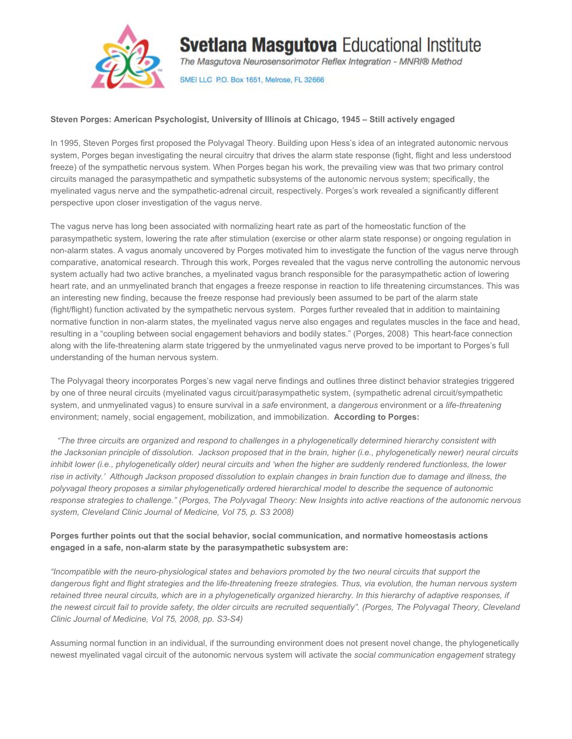

# **Svetlana Masgutova Educational Institute**

The Masgutova Neurosensorimotor Reflex Integration - MNRI® Method

SMEI LLC P.O. Box 1651, Melrose, FL 32666

#### **Steven Porges: American Psychologist, University of Illinois at Chicago, 1945 – Still actively engaged**

In 1995, Steven Porges first proposed the Polyvagal Theory. Building upon Hess's idea of an integrated autonomic nervous system, Porges began investigating the neural circuitry that drives the alarm state response (fight, flight and less understood freeze) of the sympathetic nervous system. When Porges began his work, the prevailing view was that two primary control circuits managed the parasympathetic and sympathetic subsystems of the autonomic nervous system; specifically, the myelinated vagus nerve and the sympathetic-adrenal circuit, respectively. Porges's work revealed a significantly different perspective upon closer investigation of the vagus nerve.

The vagus nerve has long been associated with normalizing heart rate as part of the homeostatic function of the parasympathetic system, lowering the rate after stimulation (exercise or other alarm state response) or ongoing regulation in non-alarm states. A vagus anomaly uncovered by Porges motivated him to investigate the function of the vagus nerve through comparative, anatomical research. Through this work, Porges revealed that the vagus nerve controlling the autonomic nervous system actually had two active branches, a myelinated vagus branch responsible for the parasympathetic action of lowering heart rate, and an unmyelinated branch that engages a freeze response in reaction to life threatening circumstances. This was an interesting new finding, because the freeze response had previously been assumed to be part of the alarm state (fight/flight) function activated by the sympathetic nervous system. Porges further revealed that in addition to maintaining normative function in non-alarm states, the myelinated vagus nerve also engages and regulates muscles in the face and head, resulting in a "coupling between social engagement behaviors and bodily states." (Porges, 2008) This heart-face connection along with the life-threatening alarm state triggered by the unmyelinated vagus nerve proved to be important to Porges's full understanding of the human nervous system.

The Polyvagal theory incorporates Porges's new vagal nerve findings and outlines three distinct behavior strategies triggered by one of three neural circuits (myelinated vagus circuit/parasympathetic system, (sympathetic adrenal circuit/sympathetic system, and unmyelinated vagus) to ensure survival in a *safe* environment, a *dangerous* environment or a *life-threatening* environment; namely, social engagement, mobilization, and immobilization. **According to Porges:**

 *"The three circuits are organized and respond to challenges in a phylogenetically determined hierarchy consistent with the Jacksonian principle of dissolution. Jackson proposed that in the brain, higher (i.e., phylogenetically newer) neural circuits inhibit lower (i.e., phylogenetically older) neural circuits and 'when the higher are suddenly rendered functionless, the lower rise in activity.' Although Jackson proposed dissolution to explain changes in brain function due to damage and illness, the polyvagal theory proposes a similar phylogenetically ordered hierarchical model to describe the sequence of autonomic response strategies to challenge." (Porges, The Polyvagal Theory: New Insights into active reactions of the autonomic nervous system, Cleveland Clinic Journal of Medicine, Vol 75, p. S3 2008)*

## **Porges further points out that the social behavior, social communication, and normative homeostasis actions engaged in a safe, non-alarm state by the parasympathetic subsystem are:**

*"Incompatible with the neuro-physiological states and behaviors promoted by the two neural circuits that support the dangerous fight and flight strategies and the life-threatening freeze strategies. Thus, via evolution, the human nervous system retained three neural circuits, which are in a phylogenetically organized hierarchy. In this hierarchy of adaptive responses, if the newest circuit fail to provide safety, the older circuits are recruited sequentially". (Porges, The Polyvagal Theory, Cleveland Clinic Journal of Medicine, Vol 75, 2008, pp. S3-S4)*

Assuming normal function in an individual, if the surrounding environment does not present novel change, the phylogenetically newest myelinated vagal circuit of the autonomic nervous system will activate the *social communication engagement* strategy